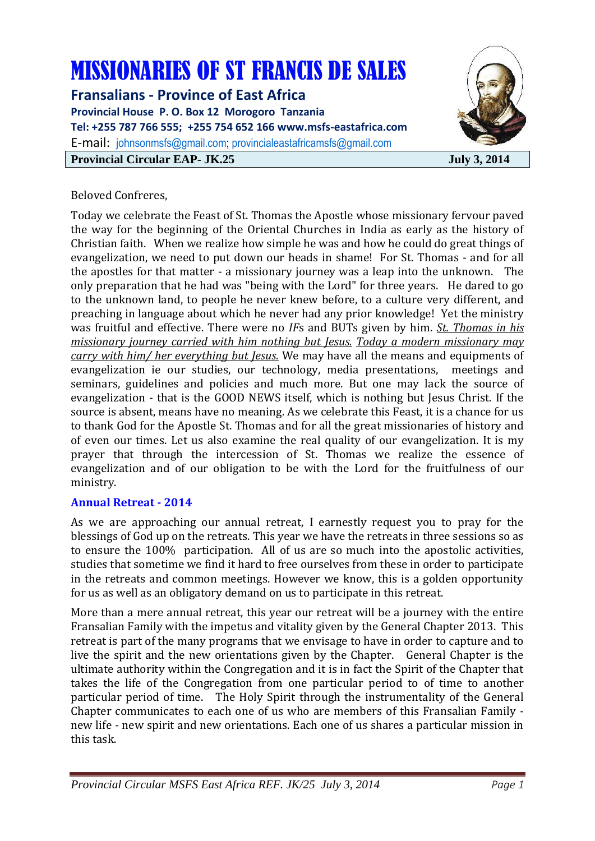# MISSIONARIES OF ST FRANCIS DE SALES

**Fransalians - Province of East Africa Provincial House P. O. Box 12 Morogoro Tanzania Tel: +255 787 766 555; +255 754 652 166 www.msfs-eastafrica.com** E-mail: [johnsonmsfs@gmail.com;](mailto:johnsonmsfs@gmail.com) [provincialeastafricamsfs@gmail.com](mailto:provincialeastafricamsfs@gmail.com) **Provincial Circular EAP- JK.25** July 3, 2014



#### Beloved Confreres,

Today we celebrate the Feast of St. Thomas the Apostle whose missionary fervour paved the way for the beginning of the Oriental Churches in India as early as the history of Christian faith. When we realize how simple he was and how he could do great things of evangelization, we need to put down our heads in shame! For St. Thomas - and for all the apostles for that matter - a missionary journey was a leap into the unknown. The only preparation that he had was "being with the Lord" for three years. He dared to go to the unknown land, to people he never knew before, to a culture very different, and preaching in language about which he never had any prior knowledge! Yet the ministry was fruitful and effective. There were no *IF*s and BUTs given by him. *St. Thomas in his missionary journey carried with him nothing but Jesus. Today a modern missionary may carry with him/ her everything but Jesus.* We may have all the means and equipments of evangelization ie our studies, our technology, media presentations, meetings and seminars, guidelines and policies and much more. But one may lack the source of evangelization - that is the GOOD NEWS itself, which is nothing but Jesus Christ. If the source is absent, means have no meaning. As we celebrate this Feast, it is a chance for us to thank God for the Apostle St. Thomas and for all the great missionaries of history and of even our times. Let us also examine the real quality of our evangelization. It is my prayer that through the intercession of St. Thomas we realize the essence of evangelization and of our obligation to be with the Lord for the fruitfulness of our ministry.

#### **Annual Retreat - 2014**

As we are approaching our annual retreat, I earnestly request you to pray for the blessings of God up on the retreats. This year we have the retreats in three sessions so as to ensure the 100% participation. All of us are so much into the apostolic activities, studies that sometime we find it hard to free ourselves from these in order to participate in the retreats and common meetings. However we know, this is a golden opportunity for us as well as an obligatory demand on us to participate in this retreat.

More than a mere annual retreat, this year our retreat will be a journey with the entire Fransalian Family with the impetus and vitality given by the General Chapter 2013. This retreat is part of the many programs that we envisage to have in order to capture and to live the spirit and the new orientations given by the Chapter. General Chapter is the ultimate authority within the Congregation and it is in fact the Spirit of the Chapter that takes the life of the Congregation from one particular period to of time to another particular period of time. The Holy Spirit through the instrumentality of the General Chapter communicates to each one of us who are members of this Fransalian Family new life - new spirit and new orientations. Each one of us shares a particular mission in this task.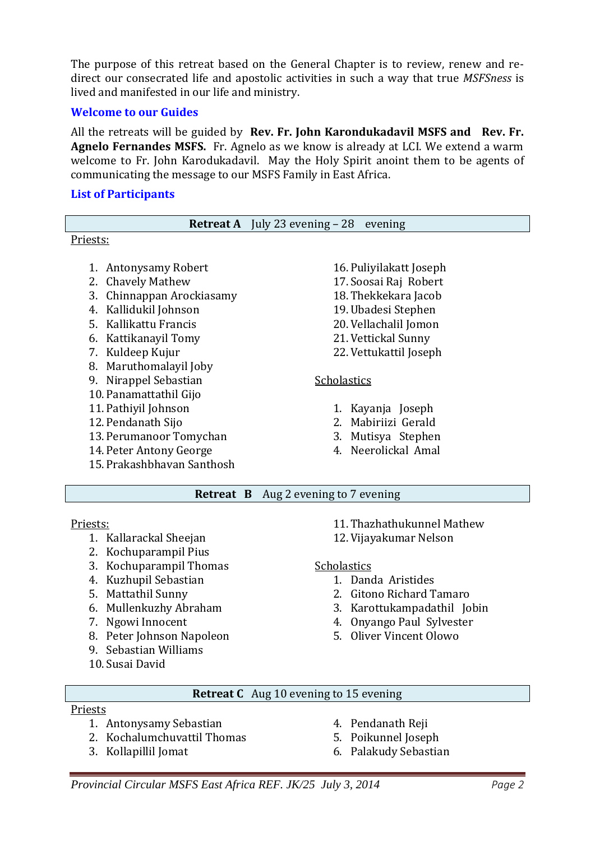The purpose of this retreat based on the General Chapter is to review, renew and redirect our consecrated life and apostolic activities in such a way that true *MSFSness* is lived and manifested in our life and ministry.

#### **Welcome to our Guides**

All the retreats will be guided by **Rev. Fr. John Karondukadavil MSFS and Rev. Fr. Agnelo Fernandes MSFS.** Fr. Agnelo as we know is already at LCI. We extend a warm welcome to Fr. John Karodukadavil. May the Holy Spirit anoint them to be agents of communicating the message to our MSFS Family in East Africa.

#### **List of Participants**

|                              | <b>Retreat A</b> July 23 evening $-28$ evening |  |  |
|------------------------------|------------------------------------------------|--|--|
| Priests:                     |                                                |  |  |
|                              |                                                |  |  |
| 1. Antonysamy Robert         | 16. Puliyilakatt Joseph                        |  |  |
| <b>Chavely Mathew</b><br>2.  | 17. Soosai Raj Robert                          |  |  |
| 3.<br>Chinnappan Arockiasamy | 18. Thekkekara Jacob                           |  |  |
| Kallidukil Johnson<br>4.     | 19. Ubadesi Stephen                            |  |  |
| Kallikattu Francis<br>5.     | 20. Vellachalil Jomon                          |  |  |
| Kattikanayil Tomy<br>6.      | 21. Vettickal Sunny                            |  |  |
| 7. Kuldeep Kujur             | 22. Vettukattil Joseph                         |  |  |
| 8. Maruthomalayil Joby       |                                                |  |  |
| 9. Nirappel Sebastian        | Scholastics                                    |  |  |
| 10. Panamattathil Gijo       |                                                |  |  |
| 11. Pathiyil Johnson         | 1. Kayanja Joseph                              |  |  |
| 12. Pendanath Sijo           | Mabiriizi Gerald<br>2 <sub>1</sub>             |  |  |
| 13. Perumanoor Tomychan      | 3. Mutisya Stephen                             |  |  |
| 14. Peter Antony George      | 4. Neerolickal Amal                            |  |  |
| 15. Prakashbhavan Santhosh   |                                                |  |  |
|                              |                                                |  |  |
|                              | <b>Retreat B</b> Aug 2 evening to 7 evening    |  |  |
|                              |                                                |  |  |
| Priests:                     | 11. Thazhathukunnel Mathew                     |  |  |
| 1. Kallarackal Sheejan       | 12. Vijayakumar Nelson                         |  |  |
| Kochuparampil Pius<br>2.     |                                                |  |  |
| Kochuparampil Thomas<br>3.   | <b>Scholastics</b>                             |  |  |

- 4. Kuzhupil Sebastian
- 5. Mattathil Sunny
- 6. Mullenkuzhy Abraham
- 7. Ngowi Innocent
- 8. Peter Johnson Napoleon
- 9. Sebastian Williams
- 10.Susai David

- 1. Danda Aristides
- 2. Gitono Richard Tamaro
- 3. Karottukampadathil Jobin
- 4. Onyango Paul Sylvester
- 5. Oliver Vincent Olowo

#### **Retreat C** Aug 10 evening to 15 evening

#### Priests

- 1. Antonysamy Sebastian
- 2. Kochalumchuvattil Thomas
- 3. Kollapillil Jomat
- 4. Pendanath Reji
- 5. Poikunnel Joseph
- 6. Palakudy Sebastian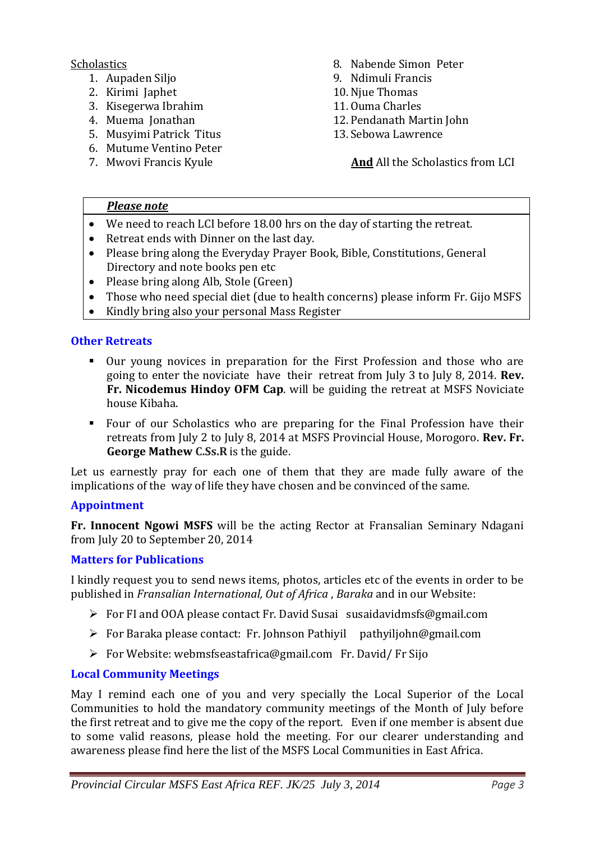#### **Scholastics**

- 1. Aupaden Siljo
- 2. Kirimi Japhet
- 3. Kisegerwa Ibrahim
- 4. Muema Jonathan
- 5. Musyimi Patrick Titus
- 6. Mutume Ventino Peter
- 7. Mwovi Francis Kyule
- 8. Nabende Simon Peter
- 9. Ndimuli Francis
- 10.Njue Thomas
- 11.Ouma Charles
- 12. Pendanath Martin John
- 13.Sebowa Lawrence

**And** All the Scholastics from LCI

#### *Please note*

- We need to reach LCI before 18.00 hrs on the day of starting the retreat.
- Retreat ends with Dinner on the last day.
- Please bring along the Everyday Prayer Book, Bible, Constitutions, General Directory and note books pen etc
- Please bring along Alb, Stole (Green)
- Those who need special diet (due to health concerns) please inform Fr. Gijo MSFS
- Kindly bring also your personal Mass Register

#### **Other Retreats**

- Our young novices in preparation for the First Profession and those who are going to enter the noviciate have their retreat from July 3 to July 8, 2014. **Rev. Fr. Nicodemus Hindoy OFM Cap**. will be guiding the retreat at MSFS Noviciate house Kibaha.
- Four of our Scholastics who are preparing for the Final Profession have their retreats from July 2 to July 8, 2014 at MSFS Provincial House, Morogoro. **Rev. Fr. George Mathew C.Ss.R** is the guide.

Let us earnestly pray for each one of them that they are made fully aware of the implications of the way of life they have chosen and be convinced of the same.

#### **Appointment**

**Fr. Innocent Ngowi MSFS** will be the acting Rector at Fransalian Seminary Ndagani from July 20 to September 20, 2014

#### **Matters for Publications**

I kindly request you to send news items, photos, articles etc of the events in order to be published in *Fransalian International, Out of Africa* , *Baraka* and in our Website:

- For FI and OOA please contact Fr. David Susai susaidavidmsfs@gmail.com
- For Baraka please contact: Fr. Johnson Pathiyil pathyiljohn@gmail.com
- For Website: webmsfseastafrica@gmail.com Fr. David/ Fr Sijo

#### **Local Community Meetings**

May I remind each one of you and very specially the Local Superior of the Local Communities to hold the mandatory community meetings of the Month of July before the first retreat and to give me the copy of the report. Even if one member is absent due to some valid reasons, please hold the meeting. For our clearer understanding and awareness please find here the list of the MSFS Local Communities in East Africa.